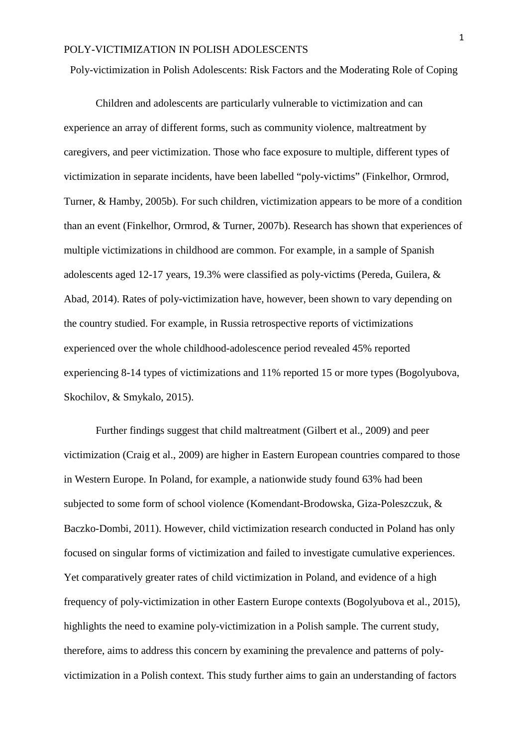Poly-victimization in Polish Adolescents: Risk Factors and the Moderating Role of Coping

Children and adolescents are particularly vulnerable to victimization and can experience an array of different forms, such as community violence, maltreatment by caregivers, and peer victimization. Those who face exposure to multiple, different types of victimization in separate incidents, have been labelled "poly-victims" (Finkelhor, Ormrod, Turner, & Hamby, 2005b). For such children, victimization appears to be more of a condition than an event (Finkelhor, Ormrod, & Turner, 2007b). Research has shown that experiences of multiple victimizations in childhood are common. For example, in a sample of Spanish adolescents aged 12-17 years, 19.3% were classified as poly-victims (Pereda, Guilera, & Abad, 2014). Rates of poly-victimization have, however, been shown to vary depending on the country studied. For example, in Russia retrospective reports of victimizations experienced over the whole childhood-adolescence period revealed 45% reported experiencing 8-14 types of victimizations and 11% reported 15 or more types (Bogolyubova, Skochilov, & Smykalo, 2015).

Further findings suggest that child maltreatment (Gilbert et al., 2009) and peer victimization (Craig et al., 2009) are higher in Eastern European countries compared to those in Western Europe. In Poland, for example, a nationwide study found 63% had been subjected to some form of school violence (Komendant-Brodowska, Giza-Poleszczuk, & Baczko-Dombi, 2011). However, child victimization research conducted in Poland has only focused on singular forms of victimization and failed to investigate cumulative experiences. Yet comparatively greater rates of child victimization in Poland, and evidence of a high frequency of poly-victimization in other Eastern Europe contexts (Bogolyubova et al., 2015), highlights the need to examine poly-victimization in a Polish sample. The current study, therefore, aims to address this concern by examining the prevalence and patterns of polyvictimization in a Polish context. This study further aims to gain an understanding of factors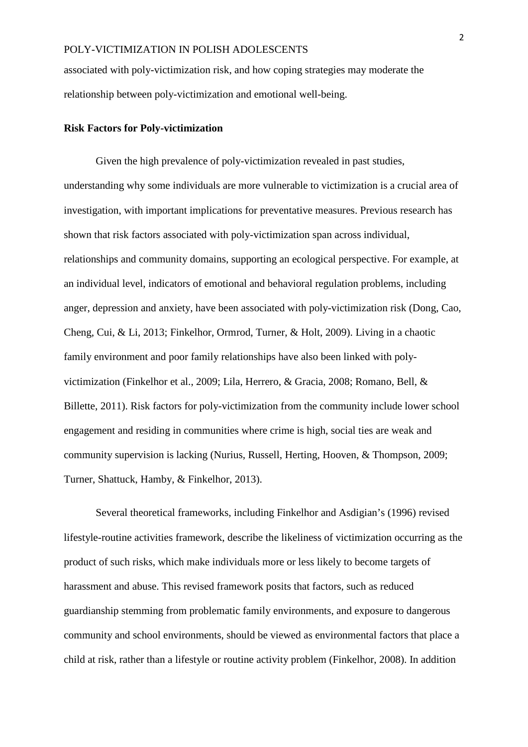associated with poly-victimization risk, and how coping strategies may moderate the relationship between poly-victimization and emotional well-being.

### **Risk Factors for Poly-victimization**

Given the high prevalence of poly-victimization revealed in past studies, understanding why some individuals are more vulnerable to victimization is a crucial area of investigation, with important implications for preventative measures. Previous research has shown that risk factors associated with poly-victimization span across individual, relationships and community domains, supporting an ecological perspective. For example, at an individual level, indicators of emotional and behavioral regulation problems, including anger, depression and anxiety, have been associated with poly-victimization risk (Dong, Cao, Cheng, Cui, & Li, 2013; Finkelhor, Ormrod, Turner, & Holt, 2009). Living in a chaotic family environment and poor family relationships have also been linked with polyvictimization (Finkelhor et al., 2009; Lila, Herrero, & Gracia, 2008; Romano, Bell, & Billette, 2011). Risk factors for poly-victimization from the community include lower school engagement and residing in communities where crime is high, social ties are weak and community supervision is lacking (Nurius, Russell, Herting, Hooven, & Thompson, 2009; Turner, Shattuck, Hamby, & Finkelhor, 2013).

Several theoretical frameworks, including Finkelhor and Asdigian's (1996) revised lifestyle-routine activities framework, describe the likeliness of victimization occurring as the product of such risks, which make individuals more or less likely to become targets of harassment and abuse. This revised framework posits that factors, such as reduced guardianship stemming from problematic family environments, and exposure to dangerous community and school environments, should be viewed as environmental factors that place a child at risk, rather than a lifestyle or routine activity problem (Finkelhor, 2008). In addition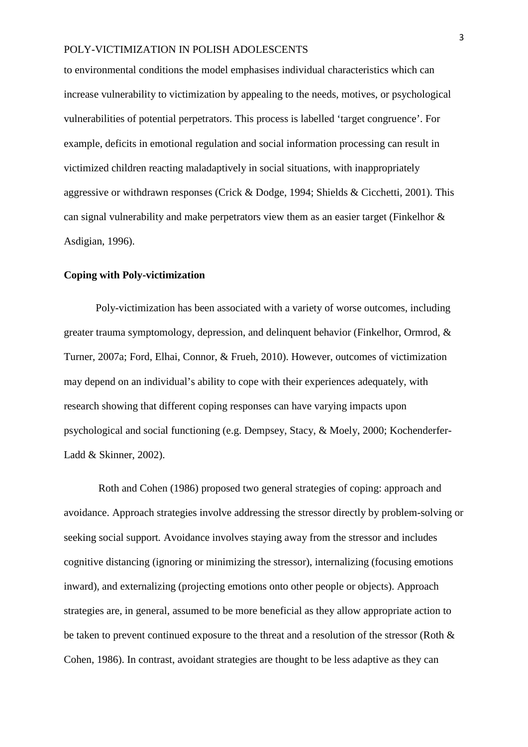to environmental conditions the model emphasises individual characteristics which can increase vulnerability to victimization by appealing to the needs, motives, or psychological vulnerabilities of potential perpetrators. This process is labelled 'target congruence'. For example, deficits in emotional regulation and social information processing can result in victimized children reacting maladaptively in social situations, with inappropriately aggressive or withdrawn responses (Crick & Dodge, 1994; Shields & Cicchetti, 2001). This can signal vulnerability and make perpetrators view them as an easier target (Finkelhor & Asdigian, 1996).

### **Coping with Poly-victimization**

Poly-victimization has been associated with a variety of worse outcomes, including greater trauma symptomology, depression, and delinquent behavior (Finkelhor, Ormrod, & Turner, 2007a; Ford, Elhai, Connor, & Frueh, 2010). However, outcomes of victimization may depend on an individual's ability to cope with their experiences adequately, with research showing that different coping responses can have varying impacts upon psychological and social functioning (e.g. Dempsey, Stacy, & Moely, 2000; Kochenderfer-Ladd & Skinner, 2002).

Roth and Cohen (1986) proposed two general strategies of coping: approach and avoidance. Approach strategies involve addressing the stressor directly by problem-solving or seeking social support*.* Avoidance involves staying away from the stressor and includes cognitive distancing (ignoring or minimizing the stressor), internalizing (focusing emotions inward), and externalizing (projecting emotions onto other people or objects). Approach strategies are, in general, assumed to be more beneficial as they allow appropriate action to be taken to prevent continued exposure to the threat and a resolution of the stressor (Roth & Cohen, 1986). In contrast, avoidant strategies are thought to be less adaptive as they can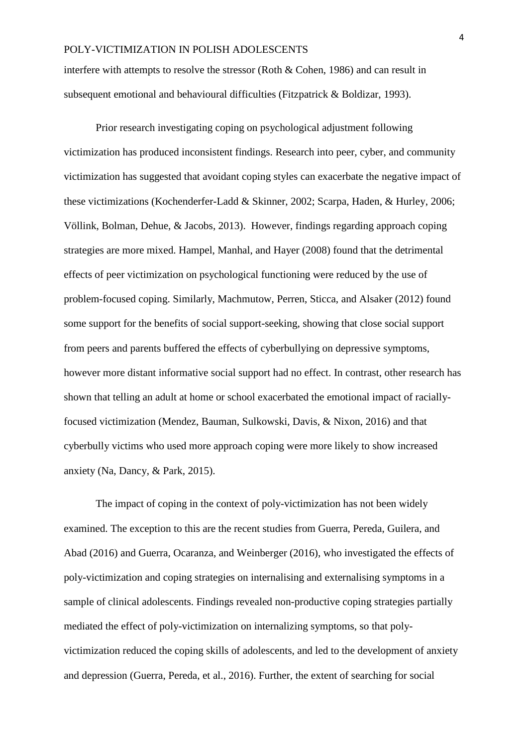interfere with attempts to resolve the stressor (Roth & Cohen, 1986) and can result in subsequent emotional and behavioural difficulties (Fitzpatrick & Boldizar, 1993).

Prior research investigating coping on psychological adjustment following victimization has produced inconsistent findings. Research into peer, cyber, and community victimization has suggested that avoidant coping styles can exacerbate the negative impact of these victimizations (Kochenderfer-Ladd & Skinner, 2002; Scarpa, Haden, & Hurley, 2006; Völlink, Bolman, Dehue, & Jacobs, 2013). However, findings regarding approach coping strategies are more mixed. Hampel, Manhal, and Hayer (2008) found that the detrimental effects of peer victimization on psychological functioning were reduced by the use of problem-focused coping. Similarly, Machmutow, Perren, Sticca, and Alsaker (2012) found some support for the benefits of social support-seeking, showing that close social support from peers and parents buffered the effects of cyberbullying on depressive symptoms, however more distant informative social support had no effect. In contrast, other research has shown that telling an adult at home or school exacerbated the emotional impact of raciallyfocused victimization (Mendez, Bauman, Sulkowski, Davis, & Nixon, 2016) and that cyberbully victims who used more approach coping were more likely to show increased anxiety (Na, Dancy, & Park, 2015).

The impact of coping in the context of poly-victimization has not been widely examined. The exception to this are the recent studies from Guerra, Pereda, Guilera, and Abad (2016) and Guerra, Ocaranza, and Weinberger (2016), who investigated the effects of poly-victimization and coping strategies on internalising and externalising symptoms in a sample of clinical adolescents. Findings revealed non-productive coping strategies partially mediated the effect of poly-victimization on internalizing symptoms, so that polyvictimization reduced the coping skills of adolescents, and led to the development of anxiety and depression (Guerra, Pereda, et al., 2016). Further, the extent of searching for social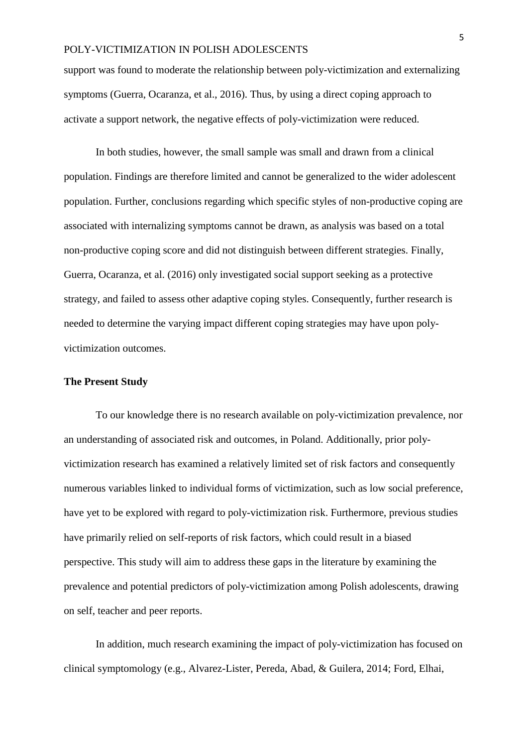support was found to moderate the relationship between poly-victimization and externalizing symptoms (Guerra, Ocaranza, et al., 2016). Thus, by using a direct coping approach to activate a support network, the negative effects of poly-victimization were reduced.

In both studies, however, the small sample was small and drawn from a clinical population. Findings are therefore limited and cannot be generalized to the wider adolescent population. Further, conclusions regarding which specific styles of non-productive coping are associated with internalizing symptoms cannot be drawn, as analysis was based on a total non-productive coping score and did not distinguish between different strategies. Finally, Guerra, Ocaranza, et al. (2016) only investigated social support seeking as a protective strategy, and failed to assess other adaptive coping styles. Consequently, further research is needed to determine the varying impact different coping strategies may have upon polyvictimization outcomes.

### **The Present Study**

To our knowledge there is no research available on poly-victimization prevalence, nor an understanding of associated risk and outcomes, in Poland. Additionally, prior polyvictimization research has examined a relatively limited set of risk factors and consequently numerous variables linked to individual forms of victimization, such as low social preference, have yet to be explored with regard to poly-victimization risk. Furthermore, previous studies have primarily relied on self-reports of risk factors, which could result in a biased perspective. This study will aim to address these gaps in the literature by examining the prevalence and potential predictors of poly-victimization among Polish adolescents, drawing on self, teacher and peer reports.

In addition, much research examining the impact of poly-victimization has focused on clinical symptomology (e.g., Alvarez-Lister, Pereda, Abad, & Guilera, 2014; Ford, Elhai,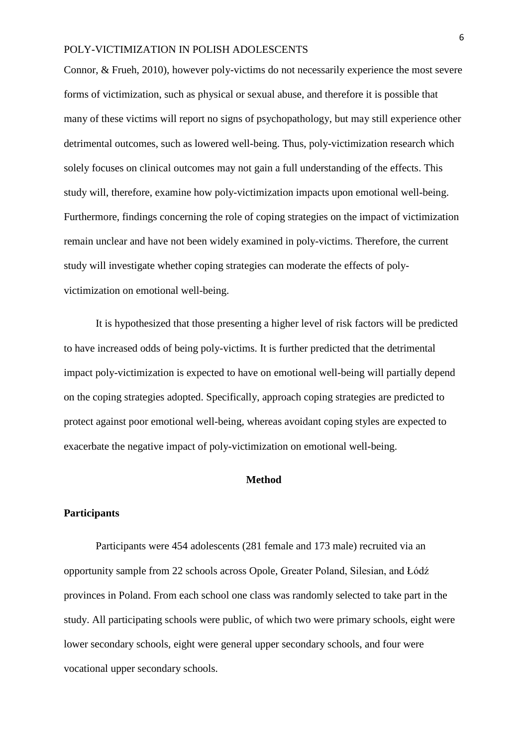Connor, & Frueh, 2010), however poly-victims do not necessarily experience the most severe forms of victimization, such as physical or sexual abuse, and therefore it is possible that many of these victims will report no signs of psychopathology, but may still experience other detrimental outcomes, such as lowered well-being. Thus, poly-victimization research which solely focuses on clinical outcomes may not gain a full understanding of the effects. This study will, therefore, examine how poly-victimization impacts upon emotional well-being. Furthermore, findings concerning the role of coping strategies on the impact of victimization remain unclear and have not been widely examined in poly-victims. Therefore, the current study will investigate whether coping strategies can moderate the effects of polyvictimization on emotional well-being.

It is hypothesized that those presenting a higher level of risk factors will be predicted to have increased odds of being poly-victims. It is further predicted that the detrimental impact poly-victimization is expected to have on emotional well-being will partially depend on the coping strategies adopted. Specifically, approach coping strategies are predicted to protect against poor emotional well-being, whereas avoidant coping styles are expected to exacerbate the negative impact of poly-victimization on emotional well-being.

## **Method**

### **Participants**

Participants were 454 adolescents (281 female and 173 male) recruited via an opportunity sample from 22 schools across Opole, Greater Poland, Silesian, and Łódź provinces in Poland. From each school one class was randomly selected to take part in the study. All participating schools were public, of which two were primary schools, eight were lower secondary schools, eight were general upper secondary schools, and four were vocational upper secondary schools.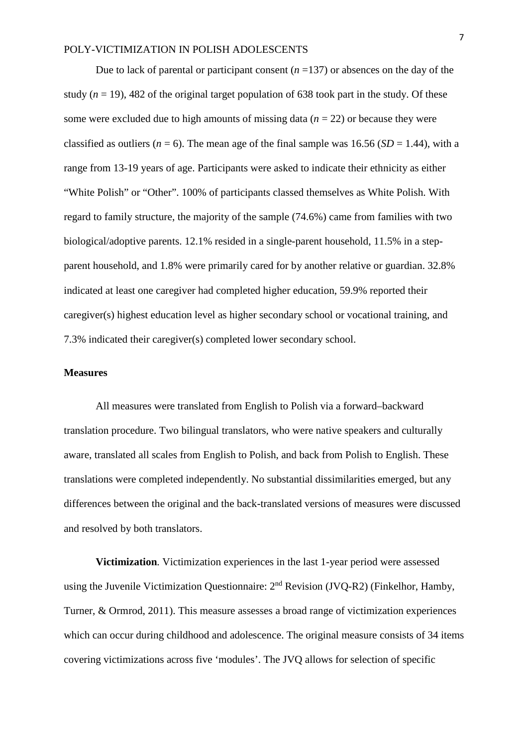Due to lack of parental or participant consent  $(n=137)$  or absences on the day of the study ( $n = 19$ ), 482 of the original target population of 638 took part in the study. Of these some were excluded due to high amounts of missing data (*n* = 22) or because they were classified as outliers ( $n = 6$ ). The mean age of the final sample was 16.56 ( $SD = 1.44$ ), with a range from 13-19 years of age. Participants were asked to indicate their ethnicity as either "White Polish" or "Other". 100% of participants classed themselves as White Polish. With regard to family structure, the majority of the sample (74.6%) came from families with two biological/adoptive parents. 12.1% resided in a single-parent household, 11.5% in a stepparent household, and 1.8% were primarily cared for by another relative or guardian. 32.8% indicated at least one caregiver had completed higher education, 59.9% reported their caregiver(s) highest education level as higher secondary school or vocational training, and 7.3% indicated their caregiver(s) completed lower secondary school.

### **Measures**

All measures were translated from English to Polish via a forward–backward translation procedure. Two bilingual translators, who were native speakers and culturally aware, translated all scales from English to Polish, and back from Polish to English. These translations were completed independently. No substantial dissimilarities emerged, but any differences between the original and the back-translated versions of measures were discussed and resolved by both translators.

**Victimization***.* Victimization experiences in the last 1-year period were assessed using the Juvenile Victimization Questionnaire: 2<sup>nd</sup> Revision (JVQ-R2) (Finkelhor, Hamby, Turner, & Ormrod, 2011). This measure assesses a broad range of victimization experiences which can occur during childhood and adolescence. The original measure consists of 34 items covering victimizations across five 'modules'. The JVQ allows for selection of specific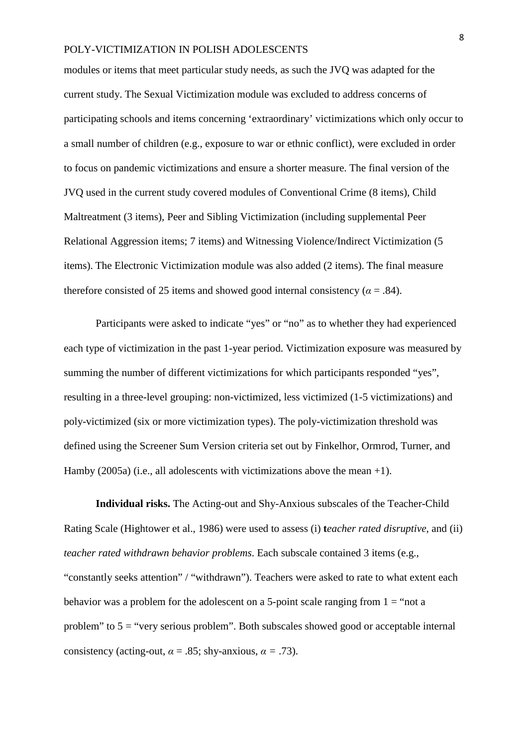modules or items that meet particular study needs, as such the JVQ was adapted for the current study. The Sexual Victimization module was excluded to address concerns of participating schools and items concerning 'extraordinary' victimizations which only occur to a small number of children (e.g., exposure to war or ethnic conflict), were excluded in order to focus on pandemic victimizations and ensure a shorter measure. The final version of the JVQ used in the current study covered modules of Conventional Crime (8 items), Child Maltreatment (3 items), Peer and Sibling Victimization (including supplemental Peer Relational Aggression items; 7 items) and Witnessing Violence/Indirect Victimization (5 items). The Electronic Victimization module was also added (2 items). The final measure therefore consisted of 25 items and showed good internal consistency ( $\alpha$  = .84).

Participants were asked to indicate "yes" or "no" as to whether they had experienced each type of victimization in the past 1-year period. Victimization exposure was measured by summing the number of different victimizations for which participants responded "yes", resulting in a three-level grouping: non-victimized, less victimized (1-5 victimizations) and poly-victimized (six or more victimization types). The poly-victimization threshold was defined using the Screener Sum Version criteria set out by Finkelhor, Ormrod, Turner, and Hamby (2005a) (i.e., all adolescents with victimizations above the mean  $+1$ ).

**Individual risks.** The Acting-out and Shy-Anxious subscales of the Teacher-Child Rating Scale (Hightower et al., 1986) were used to assess (i) **t***eacher rated disruptive*, and (ii) *teacher rated withdrawn behavior problems*. Each subscale contained 3 items (e.g., "constantly seeks attention" / "withdrawn"). Teachers were asked to rate to what extent each behavior was a problem for the adolescent on a 5-point scale ranging from  $1 =$  "not a problem" to  $5 =$  "very serious problem". Both subscales showed good or acceptable internal consistency (acting-out,  $\alpha = .85$ ; shy-anxious,  $\alpha = .73$ ).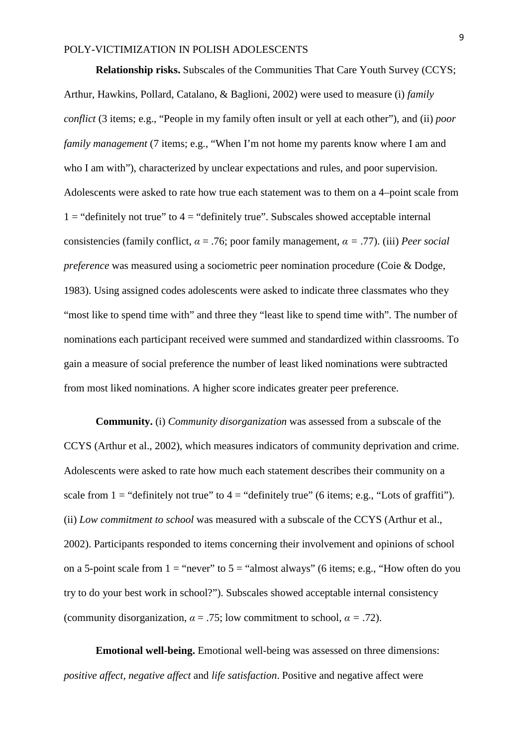**Relationship risks.** Subscales of the Communities That Care Youth Survey (CCYS; Arthur, Hawkins, Pollard, Catalano, & Baglioni, 2002) were used to measure (i) *family conflict* (3 items; e.g., "People in my family often insult or yell at each other")*,* and (ii) *poor family management* (7 items; e.g., "When I'm not home my parents know where I am and who I am with"), characterized by unclear expectations and rules, and poor supervision. Adolescents were asked to rate how true each statement was to them on a 4–point scale from  $1 =$  "definitely not true" to  $4 =$  "definitely true". Subscales showed acceptable internal consistencies (family conflict,  $\alpha = .76$ ; poor family management,  $\alpha = .77$ ). (iii) *Peer social preference* was measured using a sociometric peer nomination procedure (Coie & Dodge, 1983). Using assigned codes adolescents were asked to indicate three classmates who they "most like to spend time with" and three they "least like to spend time with". The number of nominations each participant received were summed and standardized within classrooms. To gain a measure of social preference the number of least liked nominations were subtracted from most liked nominations. A higher score indicates greater peer preference.

**Community.** (i) *Community disorganization* was assessed from a subscale of the CCYS (Arthur et al., 2002), which measures indicators of community deprivation and crime. Adolescents were asked to rate how much each statement describes their community on a scale from  $1 =$  "definitely not true" to  $4 =$  "definitely true" (6 items; e.g., "Lots of graffiti"). (ii) *Low commitment to school* was measured with a subscale of the CCYS (Arthur et al., 2002). Participants responded to items concerning their involvement and opinions of school on a 5-point scale from  $1 =$  "never" to  $5 =$  "almost always" (6 items; e.g., "How often do you try to do your best work in school?"). Subscales showed acceptable internal consistency (community disorganization,  $\alpha = .75$ ; low commitment to school,  $\alpha = .72$ ).

**Emotional well-being.** Emotional well-being was assessed on three dimensions: *positive affect, negative affect* and *life satisfaction*. Positive and negative affect were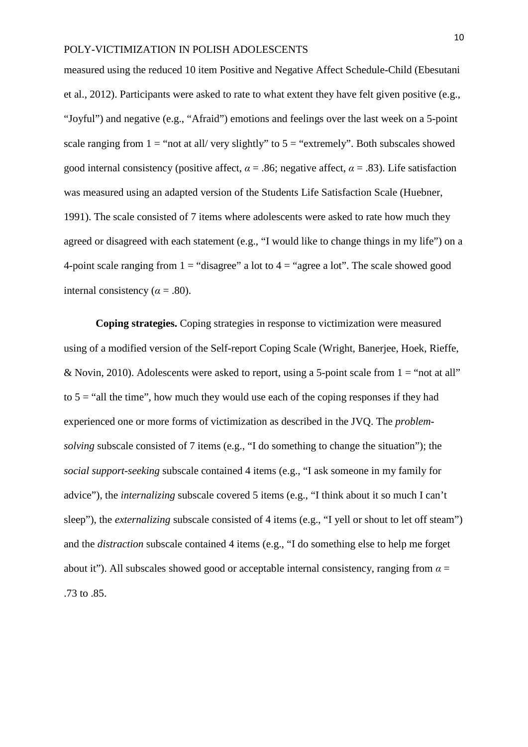measured using the reduced 10 item Positive and Negative Affect Schedule-Child (Ebesutani et al., 2012). Participants were asked to rate to what extent they have felt given positive (e.g., "Joyful") and negative (e.g., "Afraid") emotions and feelings over the last week on a 5-point scale ranging from  $1 =$  "not at all/ very slightly" to  $5 =$  "extremely". Both subscales showed good internal consistency (positive affect,  $\alpha = .86$ ; negative affect,  $\alpha = .83$ ). Life satisfaction was measured using an adapted version of the Students Life Satisfaction Scale (Huebner, 1991). The scale consisted of 7 items where adolescents were asked to rate how much they agreed or disagreed with each statement (e.g., "I would like to change things in my life") on a 4-point scale ranging from  $1 =$  "disagree" a lot to  $4 =$  "agree a lot". The scale showed good internal consistency ( $\alpha$  = .80).

**Coping strategies.** Coping strategies in response to victimization were measured using of a modified version of the Self-report Coping Scale (Wright, Banerjee, Hoek, Rieffe, & Novin, 2010). Adolescents were asked to report, using a 5-point scale from  $1 =$  "not at all" to  $5 =$  "all the time", how much they would use each of the coping responses if they had experienced one or more forms of victimization as described in the JVQ. The *problemsolving* subscale consisted of 7 items (e.g., "I do something to change the situation"); the *social support-seeking* subscale contained 4 items (e.g., "I ask someone in my family for advice"), the *internalizing* subscale covered 5 items (e.g., "I think about it so much I can't sleep"), the *externalizing* subscale consisted of 4 items (e.g., "I yell or shout to let off steam") and the *distraction* subscale contained 4 items (e.g., "I do something else to help me forget about it"). All subscales showed good or acceptable internal consistency, ranging from *α* = .73 to .85.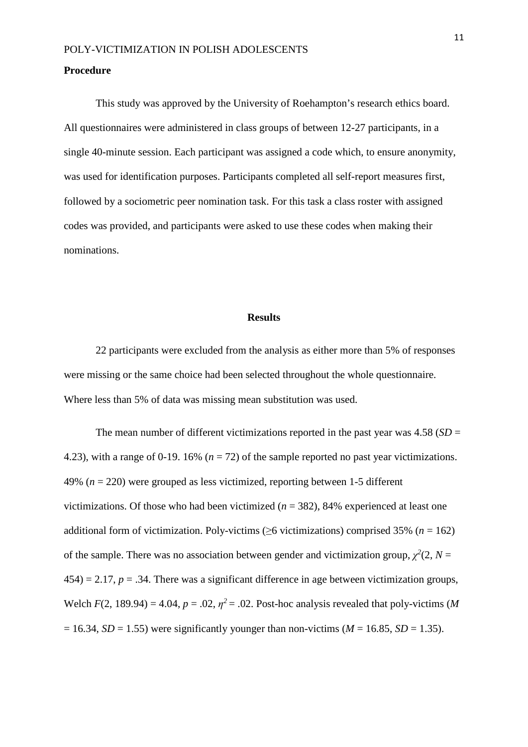### **Procedure**

This study was approved by the University of Roehampton's research ethics board. All questionnaires were administered in class groups of between 12-27 participants, in a single 40-minute session. Each participant was assigned a code which, to ensure anonymity, was used for identification purposes. Participants completed all self-report measures first, followed by a sociometric peer nomination task. For this task a class roster with assigned codes was provided, and participants were asked to use these codes when making their nominations.

## **Results**

22 participants were excluded from the analysis as either more than 5% of responses were missing or the same choice had been selected throughout the whole questionnaire. Where less than 5% of data was missing mean substitution was used.

The mean number of different victimizations reported in the past year was  $4.58$  (*SD* = 4.23), with a range of 0-19. 16% (*n* = 72) of the sample reported no past year victimizations. 49% (*n* = 220) were grouped as less victimized, reporting between 1-5 different victimizations. Of those who had been victimized  $(n = 382)$ , 84% experienced at least one additional form of victimization. Poly-victims ( $\geq$ 6 victimizations) comprised 35% (*n* = 162) of the sample. There was no association between gender and victimization group,  $\chi^2(2, N =$  $454$ ) = 2.17,  $p = 0.34$ . There was a significant difference in age between victimization groups, Welch  $F(2, 189.94) = 4.04$ ,  $p = .02$ ,  $p^2 = .02$ . Post-hoc analysis revealed that poly-victims (*M*  $= 16.34$ , *SD* = 1.55) were significantly younger than non-victims (*M* = 16.85, *SD* = 1.35).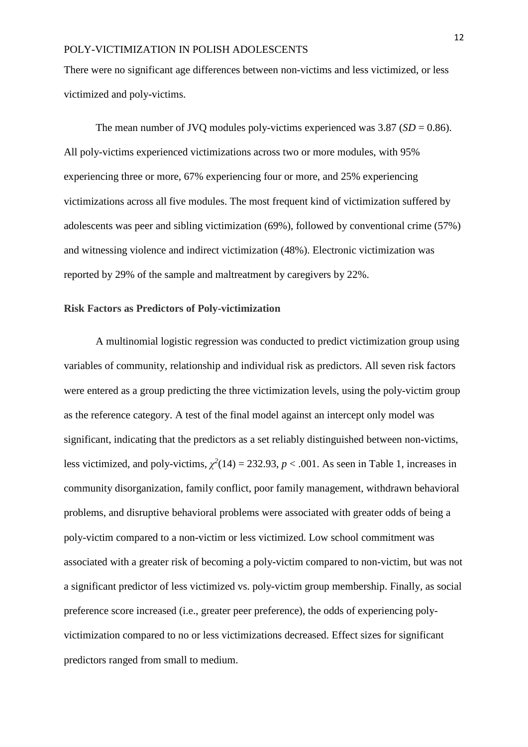There were no significant age differences between non-victims and less victimized, or less victimized and poly-victims.

The mean number of JVQ modules poly-victims experienced was  $3.87$  (*SD* = 0.86). All poly-victims experienced victimizations across two or more modules, with 95% experiencing three or more, 67% experiencing four or more, and 25% experiencing victimizations across all five modules. The most frequent kind of victimization suffered by adolescents was peer and sibling victimization (69%), followed by conventional crime (57%) and witnessing violence and indirect victimization (48%). Electronic victimization was reported by 29% of the sample and maltreatment by caregivers by 22%.

### **Risk Factors as Predictors of Poly-victimization**

A multinomial logistic regression was conducted to predict victimization group using variables of community, relationship and individual risk as predictors. All seven risk factors were entered as a group predicting the three victimization levels, using the poly-victim group as the reference category. A test of the final model against an intercept only model was significant, indicating that the predictors as a set reliably distinguished between non-victims, less victimized, and poly-victims,  $\chi^2(14) = 232.93$ ,  $p < .001$ . As seen in Table 1, increases in community disorganization, family conflict, poor family management, withdrawn behavioral problems, and disruptive behavioral problems were associated with greater odds of being a poly-victim compared to a non-victim or less victimized. Low school commitment was associated with a greater risk of becoming a poly-victim compared to non-victim, but was not a significant predictor of less victimized vs. poly-victim group membership. Finally, as social preference score increased (i.e., greater peer preference), the odds of experiencing polyvictimization compared to no or less victimizations decreased. Effect sizes for significant predictors ranged from small to medium.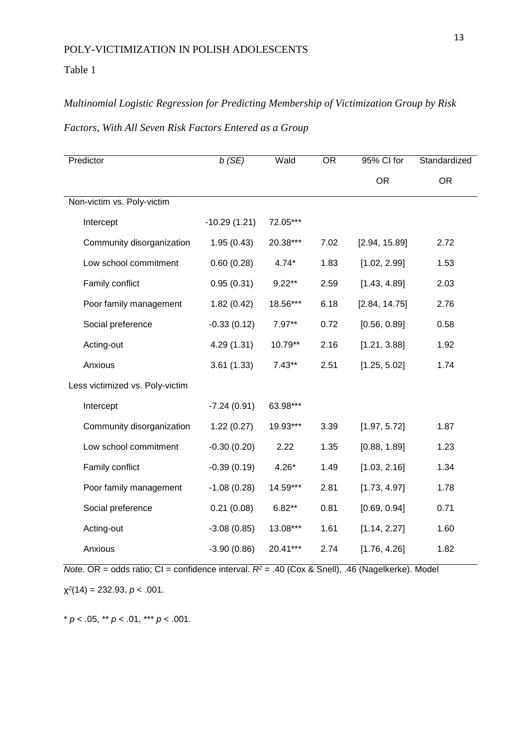Table 1

## *Multinomial Logistic Regression for Predicting Membership of Victimization Group by Risk*

| Factors, With All Seven Risk Factors Entered as a Group |  |  |  |  |  |  |  |
|---------------------------------------------------------|--|--|--|--|--|--|--|
|---------------------------------------------------------|--|--|--|--|--|--|--|

| Predictor                       | b(SE)          | Wald     | $\overline{OR}$ | 95% CI for    | Standardized |
|---------------------------------|----------------|----------|-----------------|---------------|--------------|
|                                 |                |          |                 | <b>OR</b>     | <b>OR</b>    |
| Non-victim vs. Poly-victim      |                |          |                 |               |              |
| Intercept                       | $-10.29(1.21)$ | 72.05*** |                 |               |              |
| Community disorganization       | 1.95(0.43)     | 20.38*** | 7.02            | [2.94, 15.89] | 2.72         |
| Low school commitment           | 0.60(0.28)     | $4.74*$  | 1.83            | [1.02, 2.99]  | 1.53         |
| Family conflict                 | 0.95(0.31)     | $9.22**$ | 2.59            | [1.43, 4.89]  | 2.03         |
| Poor family management          | 1.82(0.42)     | 18.56*** | 6.18            | [2.84, 14.75] | 2.76         |
| Social preference               | $-0.33(0.12)$  | $7.97**$ | 0.72            | [0.56, 0.89]  | 0.58         |
| Acting-out                      | 4.29 (1.31)    | 10.79**  | 2.16            | [1.21, 3.88]  | 1.92         |
| Anxious                         | 3.61(1.33)     | $7.43**$ | 2.51            | [1.25, 5.02]  | 1.74         |
| Less victimized vs. Poly-victim |                |          |                 |               |              |
| Intercept                       | $-7.24(0.91)$  | 63.98*** |                 |               |              |
| Community disorganization       | 1.22(0.27)     | 19.93*** | 3.39            | [1.97, 5.72]  | 1.87         |
| Low school commitment           | $-0.30(0.20)$  | 2.22     | 1.35            | [0.88, 1.89]  | 1.23         |
| Family conflict                 | $-0.39(0.19)$  | $4.26*$  | 1.49            | [1.03, 2.16]  | 1.34         |
| Poor family management          | $-1.08(0.28)$  | 14.59*** | 2.81            | [1.73, 4.97]  | 1.78         |
| Social preference               | 0.21(0.08)     | $6.82**$ | 0.81            | [0.69, 0.94]  | 0.71         |
| Acting-out                      | $-3.08(0.85)$  | 13.08*** | 1.61            | [1.14, 2.27]  | 1.60         |
| Anxious                         | $-3.90(0.86)$  | 20.41*** | 2.74            | [1.76, 4.26]  | 1.82         |

*Note.* OR = odds ratio; CI = confidence interval.  $R^2$  = .40 (Cox & Snell), .46 (Nagelkerke). Model

χ*<sup>2</sup>*(14) = 232.93, *p* < .001.

\*  $p < .05$ , \*\*  $p < .01$ , \*\*\*  $p < .001$ .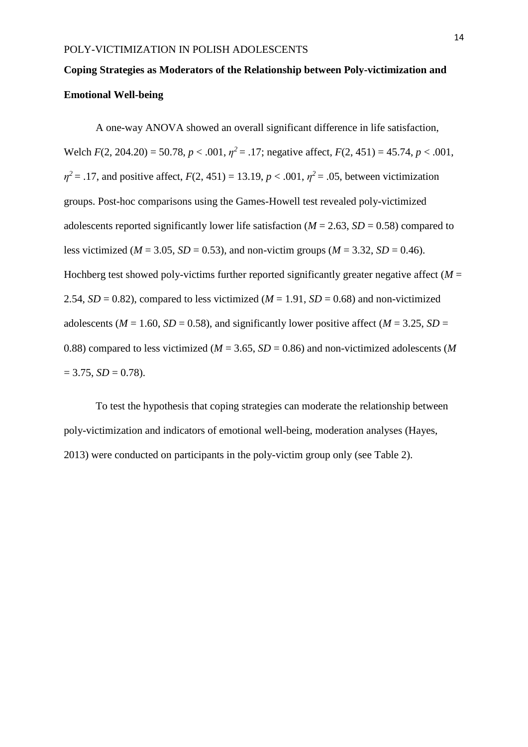# **Coping Strategies as Moderators of the Relationship between Poly-victimization and Emotional Well-being**

A one-way ANOVA showed an overall significant difference in life satisfaction, Welch *F*(2, 204.20) = 50.78, *p* < .001, *η<sup>2</sup>*= .17; negative affect, *F*(2, 451) = 45.74, *p* < .001,  $\eta^2 = .17$ , and positive affect,  $F(2, 451) = 13.19$ ,  $p < .001$ ,  $\eta^2 = .05$ , between victimization groups. Post-hoc comparisons using the Games-Howell test revealed poly-victimized adolescents reported significantly lower life satisfaction ( $M = 2.63$ ,  $SD = 0.58$ ) compared to less victimized ( $M = 3.05$ ,  $SD = 0.53$ ), and non-victim groups ( $M = 3.32$ ,  $SD = 0.46$ ). Hochberg test showed poly-victims further reported significantly greater negative affect  $(M =$ 2.54,  $SD = 0.82$ ), compared to less victimized ( $M = 1.91$ ,  $SD = 0.68$ ) and non-victimized adolescents ( $M = 1.60$ ,  $SD = 0.58$ ), and significantly lower positive affect ( $M = 3.25$ ,  $SD =$ 0.88) compared to less victimized ( $M = 3.65$ ,  $SD = 0.86$ ) and non-victimized adolescents (M)  $= 3.75, SD = 0.78$ .

To test the hypothesis that coping strategies can moderate the relationship between poly-victimization and indicators of emotional well-being, moderation analyses (Hayes, 2013) were conducted on participants in the poly-victim group only (see Table 2).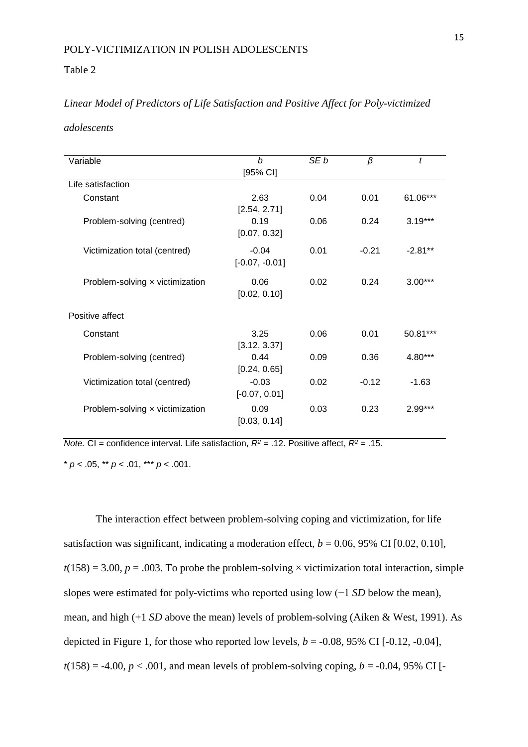### Table 2

## *Linear Model of Predictors of Life Satisfaction and Positive Affect for Poly-victimized*

*adolescents*

| Variable                        | b<br>$[95%$ CI]             | SE <sub>b</sub> | β       | t          |
|---------------------------------|-----------------------------|-----------------|---------|------------|
| Life satisfaction               |                             |                 |         |            |
| Constant                        | 2.63<br>[2.54, 2.71]        | 0.04            | 0.01    | $61.06***$ |
| Problem-solving (centred)       | 0.19<br>[0.07, 0.32]        | 0.06            | 0.24    | $3.19***$  |
| Victimization total (centred)   | $-0.04$<br>$[-0.07, -0.01]$ | 0.01            | $-0.21$ | $-2.81**$  |
| Problem-solving x victimization | 0.06<br>[0.02, 0.10]        | 0.02            | 0.24    | $3.00***$  |
| Positive affect                 |                             |                 |         |            |
| Constant                        | 3.25<br>[3.12, 3.37]        | 0.06            | 0.01    | $50.81***$ |
| Problem-solving (centred)       | 0.44<br>[0.24, 0.65]        | 0.09            | 0.36    | $4.80***$  |
| Victimization total (centred)   | $-0.03$<br>$[-0.07, 0.01]$  | 0.02            | $-0.12$ | $-1.63$    |
| Problem-solving x victimization | 0.09<br>[0.03, 0.14]        | 0.03            | 0.23    | $2.99***$  |

*Note.* CI = confidence interval. Life satisfaction,  $R^2$  = .12. Positive affect,  $R^2$  = .15.  $* p < .05, ** p < .01, ** p < .001.$ 

The interaction effect between problem-solving coping and victimization, for life satisfaction was significant, indicating a moderation effect,  $b = 0.06$ , 95% CI [0.02, 0.10],  $t(158) = 3.00$ ,  $p = .003$ . To probe the problem-solving  $\times$  victimization total interaction, simple slopes were estimated for poly-victims who reported using low (−1 *SD* below the mean), mean, and high (+1 *SD* above the mean) levels of problem-solving (Aiken & West, 1991). As depicted in Figure 1, for those who reported low levels,  $b = -0.08$ , 95% CI [ $-0.12$ ,  $-0.04$ ],  $t(158) = -4.00, p < .001$ , and mean levels of problem-solving coping,  $b = -0.04, 95\%$  CI [-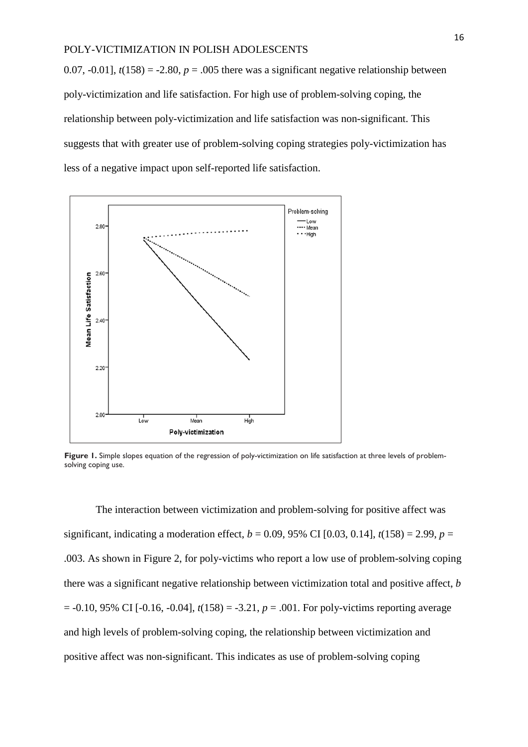0.07,  $-0.01$ ],  $t(158) = -2.80$ ,  $p = .005$  there was a significant negative relationship between poly-victimization and life satisfaction. For high use of problem-solving coping, the relationship between poly-victimization and life satisfaction was non-significant. This suggests that with greater use of problem-solving coping strategies poly-victimization has less of a negative impact upon self-reported life satisfaction.



Figure 1. Simple slopes equation of the regression of poly-victimization on life satisfaction at three levels of problemsolving coping use.

The interaction between victimization and problem-solving for positive affect was significant, indicating a moderation effect,  $b = 0.09$ , 95% CI [0.03, 0.14],  $t(158) = 2.99$ ,  $p =$ .003. As shown in Figure [2,](http://www.ncbi.nlm.nih.gov/pmc/articles/PMC3399987/figure/F1/) for poly-victims who report a low use of problem-solving coping there was a significant negative relationship between victimization total and positive affect, *b*  $= -0.10, 95\%$  CI [ $-0.16, -0.04$ ],  $t(158) = -3.21, p = .001$ . For poly-victims reporting average and high levels of problem-solving coping, the relationship between victimization and positive affect was non-significant. This indicates as use of problem-solving coping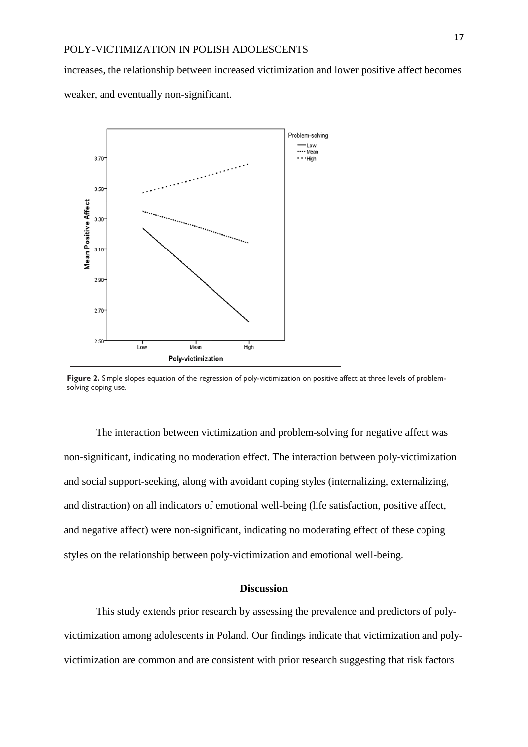increases, the relationship between increased victimization and lower positive affect becomes weaker, and eventually non-significant.



**Figure 2.** Simple slopes equation of the regression of poly-victimization on positive affect at three levels of problemsolving coping use.

The interaction between victimization and problem-solving for negative affect was non-significant, indicating no moderation effect. The interaction between poly-victimization and social support-seeking, along with avoidant coping styles (internalizing, externalizing, and distraction) on all indicators of emotional well-being (life satisfaction, positive affect, and negative affect) were non-significant, indicating no moderating effect of these coping styles on the relationship between poly-victimization and emotional well-being.

### **Discussion**

This study extends prior research by assessing the prevalence and predictors of polyvictimization among adolescents in Poland. Our findings indicate that victimization and polyvictimization are common and are consistent with prior research suggesting that risk factors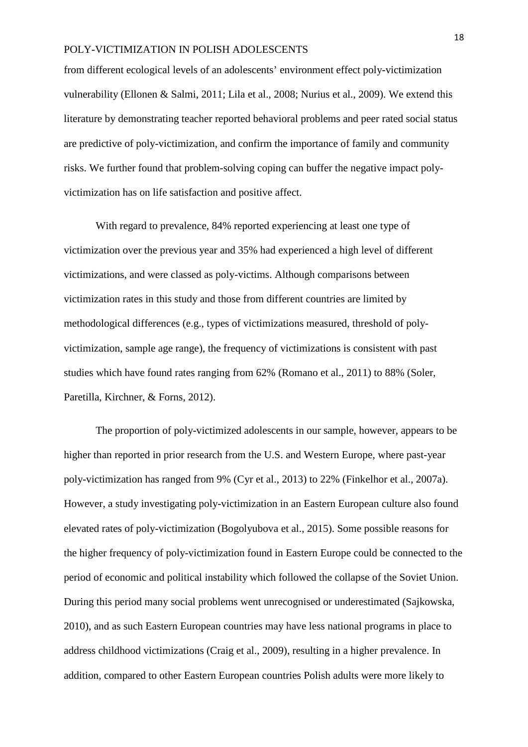from different ecological levels of an adolescents' environment effect poly-victimization vulnerability (Ellonen & Salmi, 2011; Lila et al., 2008; Nurius et al., 2009). We extend this literature by demonstrating teacher reported behavioral problems and peer rated social status are predictive of poly-victimization, and confirm the importance of family and community risks. We further found that problem-solving coping can buffer the negative impact polyvictimization has on life satisfaction and positive affect.

With regard to prevalence, 84% reported experiencing at least one type of victimization over the previous year and 35% had experienced a high level of different victimizations, and were classed as poly-victims. Although comparisons between victimization rates in this study and those from different countries are limited by methodological differences (e.g., types of victimizations measured, threshold of polyvictimization, sample age range), the frequency of victimizations is consistent with past studies which have found rates ranging from 62% (Romano et al., 2011) to 88% (Soler, Paretilla, Kirchner, & Forns, 2012).

The proportion of poly-victimized adolescents in our sample, however, appears to be higher than reported in prior research from the U.S. and Western Europe, where past-year poly-victimization has ranged from 9% (Cyr et al., 2013) to 22% (Finkelhor et al., 2007a). However, a study investigating poly-victimization in an Eastern European culture also found elevated rates of poly-victimization (Bogolyubova et al., 2015). Some possible reasons for the higher frequency of poly-victimization found in Eastern Europe could be connected to the period of economic and political instability which followed the collapse of the Soviet Union. During this period many social problems went unrecognised or underestimated (Sajkowska, 2010), and as such Eastern European countries may have less national programs in place to address childhood victimizations (Craig et al., 2009), resulting in a higher prevalence. In addition, compared to other Eastern European countries Polish adults were more likely to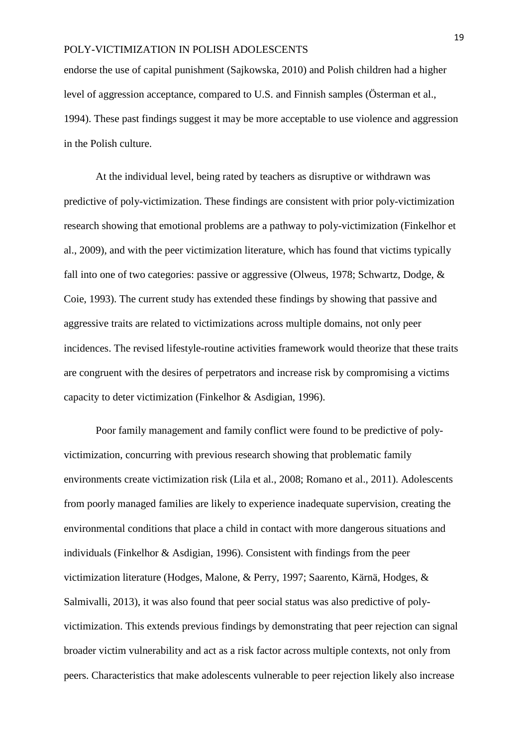endorse the use of capital punishment (Sajkowska, 2010) and Polish children had a higher level of aggression acceptance, compared to U.S. and Finnish samples (Österman et al., 1994). These past findings suggest it may be more acceptable to use violence and aggression in the Polish culture.

At the individual level, being rated by teachers as disruptive or withdrawn was predictive of poly-victimization. These findings are consistent with prior poly-victimization research showing that emotional problems are a pathway to poly-victimization (Finkelhor et al., 2009), and with the peer victimization literature, which has found that victims typically fall into one of two categories: passive or aggressive (Olweus, 1978; Schwartz, Dodge, & Coie, 1993). The current study has extended these findings by showing that passive and aggressive traits are related to victimizations across multiple domains, not only peer incidences. The revised lifestyle-routine activities framework would theorize that these traits are congruent with the desires of perpetrators and increase risk by compromising a victims capacity to deter victimization (Finkelhor & Asdigian, 1996).

Poor family management and family conflict were found to be predictive of polyvictimization, concurring with previous research showing that problematic family environments create victimization risk (Lila et al., 2008; Romano et al., 2011). Adolescents from poorly managed families are likely to experience inadequate supervision, creating the environmental conditions that place a child in contact with more dangerous situations and individuals (Finkelhor & Asdigian, 1996). Consistent with findings from the peer victimization literature (Hodges, Malone, & Perry, 1997; Saarento, Kärnä, Hodges, & Salmivalli, 2013), it was also found that peer social status was also predictive of polyvictimization. This extends previous findings by demonstrating that peer rejection can signal broader victim vulnerability and act as a risk factor across multiple contexts, not only from peers. Characteristics that make adolescents vulnerable to peer rejection likely also increase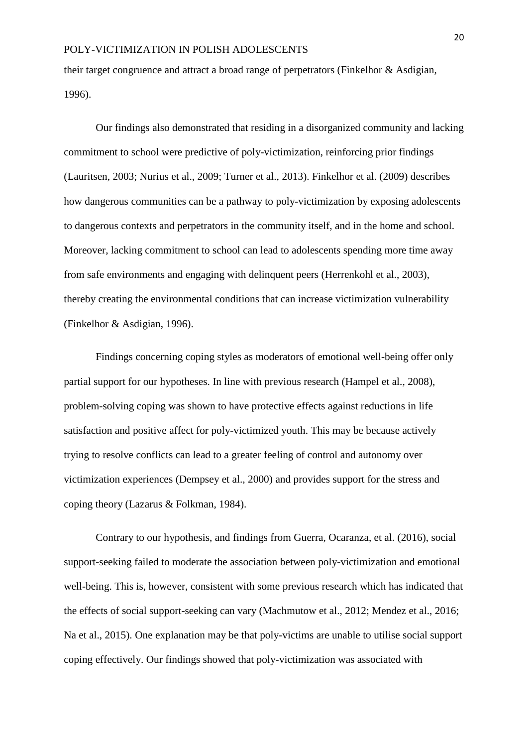their target congruence and attract a broad range of perpetrators (Finkelhor & Asdigian, 1996).

Our findings also demonstrated that residing in a disorganized community and lacking commitment to school were predictive of poly-victimization, reinforcing prior findings (Lauritsen, 2003; Nurius et al., 2009; Turner et al., 2013). Finkelhor et al. (2009) describes how dangerous communities can be a pathway to poly-victimization by exposing adolescents to dangerous contexts and perpetrators in the community itself, and in the home and school. Moreover, lacking commitment to school can lead to adolescents spending more time away from safe environments and engaging with delinquent peers (Herrenkohl et al., 2003), thereby creating the environmental conditions that can increase victimization vulnerability (Finkelhor & Asdigian, 1996).

Findings concerning coping styles as moderators of emotional well-being offer only partial support for our hypotheses. In line with previous research (Hampel et al., 2008), problem-solving coping was shown to have protective effects against reductions in life satisfaction and positive affect for poly-victimized youth. This may be because actively trying to resolve conflicts can lead to a greater feeling of control and autonomy over victimization experiences (Dempsey et al., 2000) and provides support for the stress and coping theory (Lazarus & Folkman, 1984).

Contrary to our hypothesis, and findings from Guerra, Ocaranza, et al. (2016), social support-seeking failed to moderate the association between poly-victimization and emotional well-being. This is, however, consistent with some previous research which has indicated that the effects of social support-seeking can vary (Machmutow et al., 2012; Mendez et al., 2016; Na et al., 2015). One explanation may be that poly-victims are unable to utilise social support coping effectively. Our findings showed that poly-victimization was associated with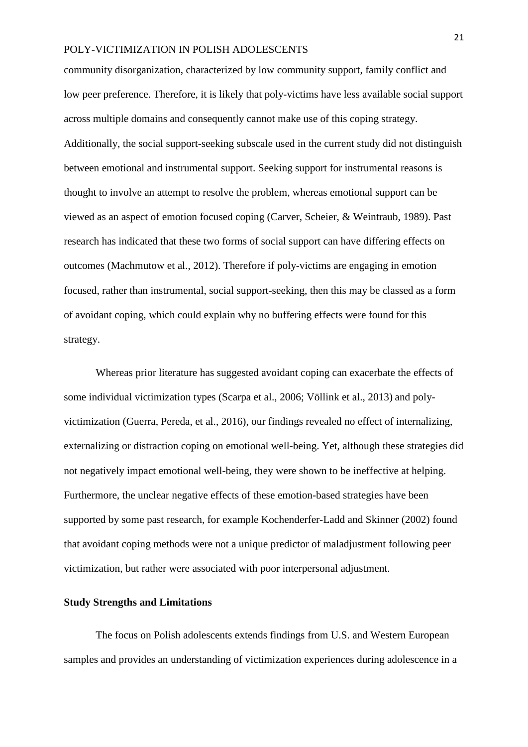community disorganization, characterized by low community support, family conflict and low peer preference. Therefore, it is likely that poly-victims have less available social support across multiple domains and consequently cannot make use of this coping strategy. Additionally, the social support-seeking subscale used in the current study did not distinguish between emotional and instrumental support. Seeking support for instrumental reasons is thought to involve an attempt to resolve the problem, whereas emotional support can be viewed as an aspect of emotion focused coping (Carver, Scheier, & Weintraub, 1989). Past research has indicated that these two forms of social support can have differing effects on outcomes (Machmutow et al., 2012). Therefore if poly-victims are engaging in emotion focused, rather than instrumental, social support-seeking, then this may be classed as a form of avoidant coping, which could explain why no buffering effects were found for this strategy.

Whereas prior literature has suggested avoidant coping can exacerbate the effects of some individual victimization types (Scarpa et al., 2006; Völlink et al., 2013) and polyvictimization (Guerra, Pereda, et al., 2016), our findings revealed no effect of internalizing, externalizing or distraction coping on emotional well-being. Yet, although these strategies did not negatively impact emotional well-being, they were shown to be ineffective at helping. Furthermore, the unclear negative effects of these emotion-based strategies have been supported by some past research, for example Kochenderfer-Ladd and Skinner (2002) found that avoidant coping methods were not a unique predictor of maladjustment following peer victimization, but rather were associated with poor interpersonal adjustment.

### **Study Strengths and Limitations**

The focus on Polish adolescents extends findings from U.S. and Western European samples and provides an understanding of victimization experiences during adolescence in a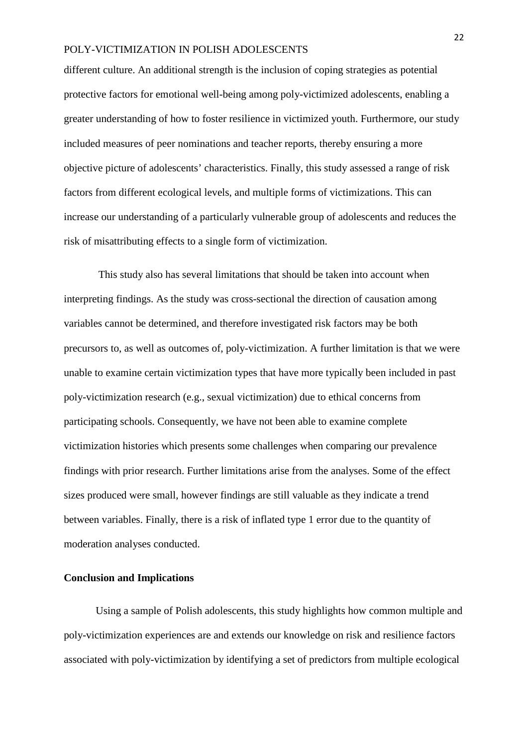different culture. An additional strength is the inclusion of coping strategies as potential protective factors for emotional well-being among poly-victimized adolescents, enabling a greater understanding of how to foster resilience in victimized youth. Furthermore, our study included measures of peer nominations and teacher reports, thereby ensuring a more objective picture of adolescents' characteristics. Finally, this study assessed a range of risk factors from different ecological levels, and multiple forms of victimizations. This can increase our understanding of a particularly vulnerable group of adolescents and reduces the risk of misattributing effects to a single form of victimization.

This study also has several limitations that should be taken into account when interpreting findings. As the study was cross-sectional the direction of causation among variables cannot be determined, and therefore investigated risk factors may be both precursors to, as well as outcomes of, poly-victimization. A further limitation is that we were unable to examine certain victimization types that have more typically been included in past poly-victimization research (e.g., sexual victimization) due to ethical concerns from participating schools. Consequently, we have not been able to examine complete victimization histories which presents some challenges when comparing our prevalence findings with prior research. Further limitations arise from the analyses. Some of the effect sizes produced were small, however findings are still valuable as they indicate a trend between variables. Finally, there is a risk of inflated type 1 error due to the quantity of moderation analyses conducted.

## **Conclusion and Implications**

Using a sample of Polish adolescents, this study highlights how common multiple and poly-victimization experiences are and extends our knowledge on risk and resilience factors associated with poly-victimization by identifying a set of predictors from multiple ecological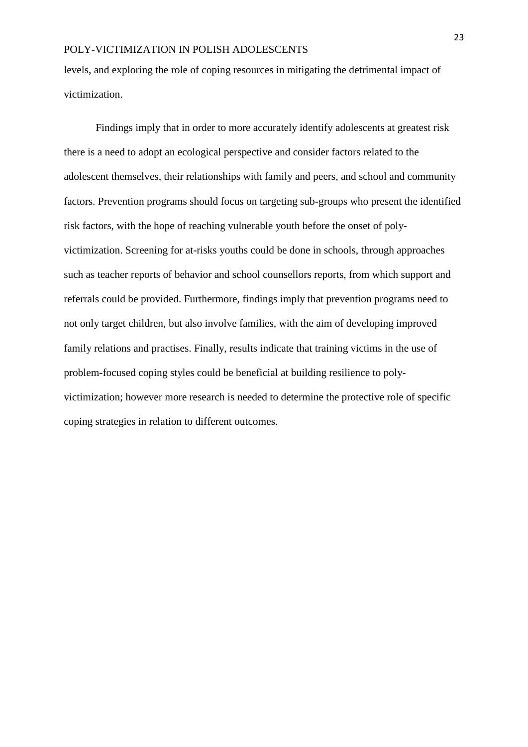levels, and exploring the role of coping resources in mitigating the detrimental impact of victimization.

Findings imply that in order to more accurately identify adolescents at greatest risk there is a need to adopt an ecological perspective and consider factors related to the adolescent themselves, their relationships with family and peers, and school and community factors. Prevention programs should focus on targeting sub-groups who present the identified risk factors, with the hope of reaching vulnerable youth before the onset of polyvictimization. Screening for at-risks youths could be done in schools, through approaches such as teacher reports of behavior and school counsellors reports, from which support and referrals could be provided. Furthermore, findings imply that prevention programs need to not only target children, but also involve families, with the aim of developing improved family relations and practises. Finally, results indicate that training victims in the use of problem-focused coping styles could be beneficial at building resilience to polyvictimization; however more research is needed to determine the protective role of specific coping strategies in relation to different outcomes.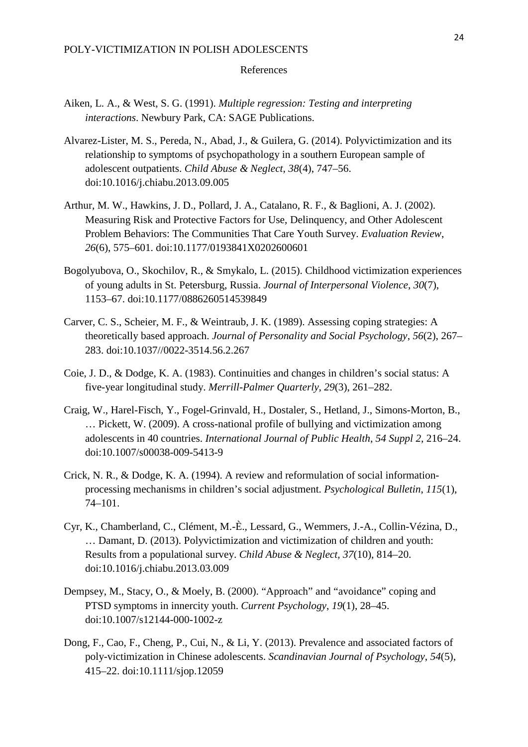### References

- Aiken, L. A., & West, S. G. (1991). *Multiple regression: Testing and interpreting interactions*. Newbury Park, CA: SAGE Publications.
- Alvarez-Lister, M. S., Pereda, N., Abad, J., & Guilera, G. (2014). Polyvictimization and its relationship to symptoms of psychopathology in a southern European sample of adolescent outpatients. *Child Abuse & Neglect*, *38*(4), 747–56. doi:10.1016/j.chiabu.2013.09.005
- Arthur, M. W., Hawkins, J. D., Pollard, J. A., Catalano, R. F., & Baglioni, A. J. (2002). Measuring Risk and Protective Factors for Use, Delinquency, and Other Adolescent Problem Behaviors: The Communities That Care Youth Survey. *Evaluation Review*, *26*(6), 575–601. doi:10.1177/0193841X0202600601
- Bogolyubova, O., Skochilov, R., & Smykalo, L. (2015). Childhood victimization experiences of young adults in St. Petersburg, Russia. *Journal of Interpersonal Violence*, *30*(7), 1153–67. doi:10.1177/0886260514539849
- Carver, C. S., Scheier, M. F., & Weintraub, J. K. (1989). Assessing coping strategies: A theoretically based approach. *Journal of Personality and Social Psychology*, *56*(2), 267– 283. doi:10.1037//0022-3514.56.2.267
- Coie, J. D., & Dodge, K. A. (1983). Continuities and changes in children's social status: A five-year longitudinal study. *Merrill-Palmer Quarterly*, *29*(3), 261–282.
- Craig, W., Harel-Fisch, Y., Fogel-Grinvald, H., Dostaler, S., Hetland, J., Simons-Morton, B., … Pickett, W. (2009). A cross-national profile of bullying and victimization among adolescents in 40 countries. *International Journal of Public Health*, *54 Suppl 2*, 216–24. doi:10.1007/s00038-009-5413-9
- Crick, N. R., & Dodge, K. A. (1994). A review and reformulation of social informationprocessing mechanisms in children's social adjustment. *Psychological Bulletin*, *115*(1), 74–101.
- Cyr, K., Chamberland, C., Clément, M.-È., Lessard, G., Wemmers, J.-A., Collin-Vézina, D., … Damant, D. (2013). Polyvictimization and victimization of children and youth: Results from a populational survey. *Child Abuse & Neglect*, *37*(10), 814–20. doi:10.1016/j.chiabu.2013.03.009
- Dempsey, M., Stacy, O., & Moely, B. (2000). "Approach" and "avoidance" coping and PTSD symptoms in innercity youth. *Current Psychology*, *19*(1), 28–45. doi:10.1007/s12144-000-1002-z
- Dong, F., Cao, F., Cheng, P., Cui, N., & Li, Y. (2013). Prevalence and associated factors of poly-victimization in Chinese adolescents. *Scandinavian Journal of Psychology*, *54*(5), 415–22. doi:10.1111/sjop.12059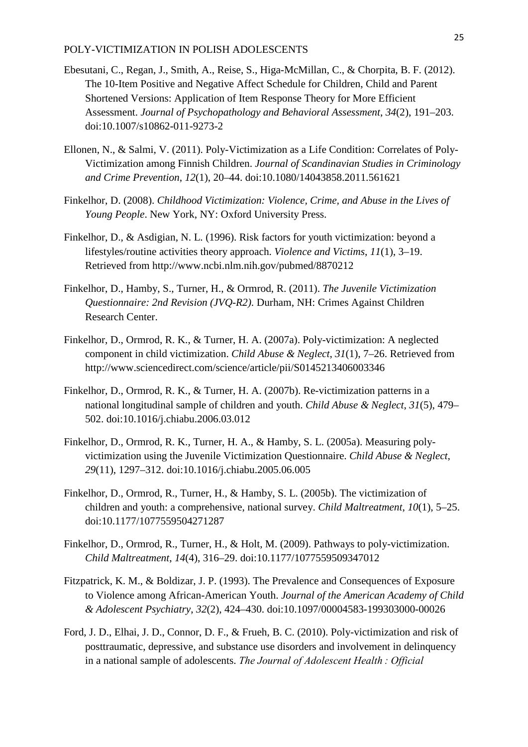- Ebesutani, C., Regan, J., Smith, A., Reise, S., Higa-McMillan, C., & Chorpita, B. F. (2012). The 10-Item Positive and Negative Affect Schedule for Children, Child and Parent Shortened Versions: Application of Item Response Theory for More Efficient Assessment. *Journal of Psychopathology and Behavioral Assessment*, *34*(2), 191–203. doi:10.1007/s10862-011-9273-2
- Ellonen, N., & Salmi, V. (2011). Poly-Victimization as a Life Condition: Correlates of Poly-Victimization among Finnish Children. *Journal of Scandinavian Studies in Criminology and Crime Prevention*, *12*(1), 20–44. doi:10.1080/14043858.2011.561621
- Finkelhor, D. (2008). *Childhood Victimization: Violence, Crime, and Abuse in the Lives of Young People*. New York, NY: Oxford University Press.
- Finkelhor, D., & Asdigian, N. L. (1996). Risk factors for youth victimization: beyond a lifestyles/routine activities theory approach. *Violence and Victims*, *11*(1), 3–19. Retrieved from http://www.ncbi.nlm.nih.gov/pubmed/8870212
- Finkelhor, D., Hamby, S., Turner, H., & Ormrod, R. (2011). *The Juvenile Victimization Questionnaire: 2nd Revision (JVQ-R2)*. Durham, NH: Crimes Against Children Research Center.
- Finkelhor, D., Ormrod, R. K., & Turner, H. A. (2007a). Poly-victimization: A neglected component in child victimization. *Child Abuse & Neglect*, *31*(1), 7–26. Retrieved from http://www.sciencedirect.com/science/article/pii/S0145213406003346
- Finkelhor, D., Ormrod, R. K., & Turner, H. A. (2007b). Re-victimization patterns in a national longitudinal sample of children and youth. *Child Abuse & Neglect*, *31*(5), 479– 502. doi:10.1016/j.chiabu.2006.03.012
- Finkelhor, D., Ormrod, R. K., Turner, H. A., & Hamby, S. L. (2005a). Measuring polyvictimization using the Juvenile Victimization Questionnaire. *Child Abuse & Neglect*, *29*(11), 1297–312. doi:10.1016/j.chiabu.2005.06.005
- Finkelhor, D., Ormrod, R., Turner, H., & Hamby, S. L. (2005b). The victimization of children and youth: a comprehensive, national survey. *Child Maltreatment*, *10*(1), 5–25. doi:10.1177/1077559504271287
- Finkelhor, D., Ormrod, R., Turner, H., & Holt, M. (2009). Pathways to poly-victimization. *Child Maltreatment*, *14*(4), 316–29. doi:10.1177/1077559509347012
- Fitzpatrick, K. M., & Boldizar, J. P. (1993). The Prevalence and Consequences of Exposure to Violence among African-American Youth. *Journal of the American Academy of Child & Adolescent Psychiatry*, *32*(2), 424–430. doi:10.1097/00004583-199303000-00026
- Ford, J. D., Elhai, J. D., Connor, D. F., & Frueh, B. C. (2010). Poly-victimization and risk of posttraumatic, depressive, and substance use disorders and involvement in delinquency in a national sample of adolescents. *The Journal of Adolescent Health : Official*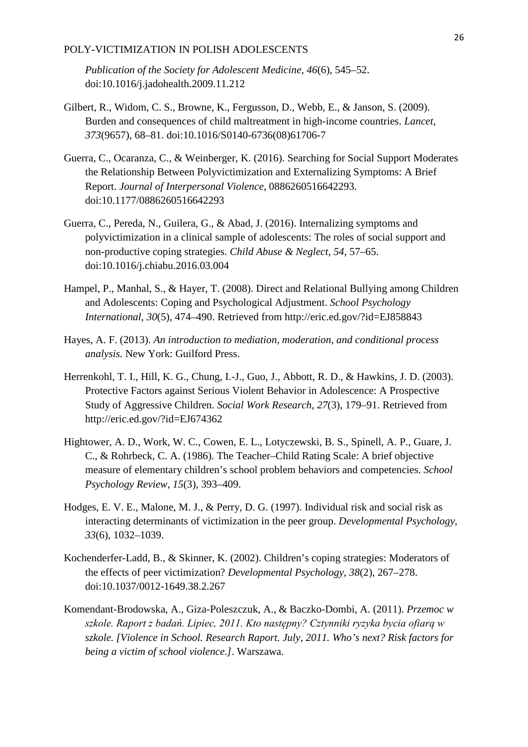*Publication of the Society for Adolescent Medicine*, *46*(6), 545–52. doi:10.1016/j.jadohealth.2009.11.212

- Gilbert, R., Widom, C. S., Browne, K., Fergusson, D., Webb, E., & Janson, S. (2009). Burden and consequences of child maltreatment in high-income countries. *Lancet*, *373*(9657), 68–81. doi:10.1016/S0140-6736(08)61706-7
- Guerra, C., Ocaranza, C., & Weinberger, K. (2016). Searching for Social Support Moderates the Relationship Between Polyvictimization and Externalizing Symptoms: A Brief Report. *Journal of Interpersonal Violence*, 0886260516642293. doi:10.1177/0886260516642293
- Guerra, C., Pereda, N., Guilera, G., & Abad, J. (2016). Internalizing symptoms and polyvictimization in a clinical sample of adolescents: The roles of social support and non-productive coping strategies. *Child Abuse & Neglect*, *54*, 57–65. doi:10.1016/j.chiabu.2016.03.004
- Hampel, P., Manhal, S., & Hayer, T. (2008). Direct and Relational Bullying among Children and Adolescents: Coping and Psychological Adjustment. *School Psychology International*, *30*(5), 474–490. Retrieved from http://eric.ed.gov/?id=EJ858843
- Hayes, A. F. (2013). *An introduction to mediation, moderation, and conditional process analysis.* New York: Guilford Press.
- Herrenkohl, T. I., Hill, K. G., Chung, I.-J., Guo, J., Abbott, R. D., & Hawkins, J. D. (2003). Protective Factors against Serious Violent Behavior in Adolescence: A Prospective Study of Aggressive Children. *Social Work Research*, *27*(3), 179–91. Retrieved from http://eric.ed.gov/?id=EJ674362
- Hightower, A. D., Work, W. C., Cowen, E. L., Lotyczewski, B. S., Spinell, A. P., Guare, J. C., & Rohrbeck, C. A. (1986). The Teacher–Child Rating Scale: A brief objective measure of elementary children's school problem behaviors and competencies. *School Psychology Review*, *15*(3), 393–409.
- Hodges, E. V. E., Malone, M. J., & Perry, D. G. (1997). Individual risk and social risk as interacting determinants of victimization in the peer group. *Developmental Psychology*, *33*(6), 1032–1039.
- Kochenderfer-Ladd, B., & Skinner, K. (2002). Children's coping strategies: Moderators of the effects of peer victimization? *Developmental Psychology*, *38*(2), 267–278. doi:10.1037/0012-1649.38.2.267
- Komendant-Brodowska, A., Giza-Poleszczuk, A., & Baczko-Dombi, A. (2011). *Przemoc w szkole. Raport z badań. Lipiec, 2011. Kto następny? Cztynniki ryzyka bycia ofiarą w szkole. [Violence in School. Research Raport. July, 2011. Who's next? Risk factors for being a victim of school violence.]*. Warszawa.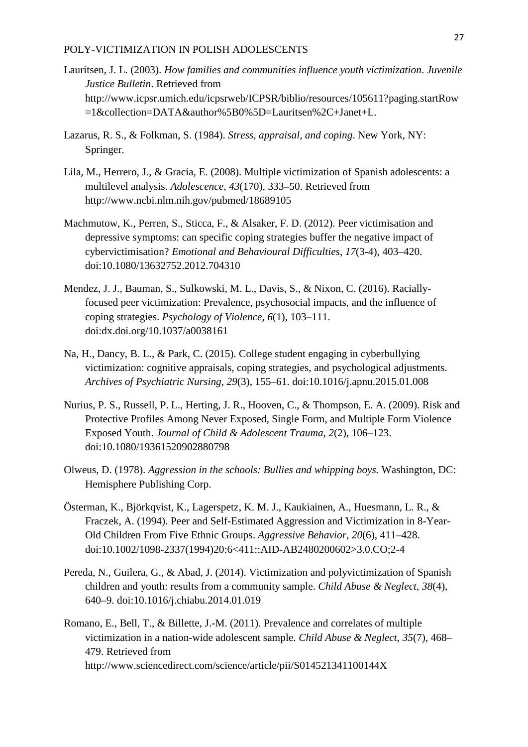- Lauritsen, J. L. (2003). *How families and communities influence youth victimization*. *Juvenile Justice Bulletin*. Retrieved from http://www.icpsr.umich.edu/icpsrweb/ICPSR/biblio/resources/105611?paging.startRow =1&collection=DATA&author%5B0%5D=Lauritsen%2C+Janet+L.
- Lazarus, R. S., & Folkman, S. (1984). *Stress, appraisal, and coping*. New York, NY: Springer.
- Lila, M., Herrero, J., & Gracia, E. (2008). Multiple victimization of Spanish adolescents: a multilevel analysis. *Adolescence*, *43*(170), 333–50. Retrieved from http://www.ncbi.nlm.nih.gov/pubmed/18689105
- Machmutow, K., Perren, S., Sticca, F., & Alsaker, F. D. (2012). Peer victimisation and depressive symptoms: can specific coping strategies buffer the negative impact of cybervictimisation? *Emotional and Behavioural Difficulties*, *17*(3-4), 403–420. doi:10.1080/13632752.2012.704310
- Mendez, J. J., Bauman, S., Sulkowski, M. L., Davis, S., & Nixon, C. (2016). Raciallyfocused peer victimization: Prevalence, psychosocial impacts, and the influence of coping strategies. *Psychology of Violence*, *6*(1), 103–111. doi:dx.doi.org/10.1037/a0038161
- Na, H., Dancy, B. L., & Park, C. (2015). College student engaging in cyberbullying victimization: cognitive appraisals, coping strategies, and psychological adjustments. *Archives of Psychiatric Nursing*, *29*(3), 155–61. doi:10.1016/j.apnu.2015.01.008
- Nurius, P. S., Russell, P. L., Herting, J. R., Hooven, C., & Thompson, E. A. (2009). Risk and Protective Profiles Among Never Exposed, Single Form, and Multiple Form Violence Exposed Youth. *Journal of Child & Adolescent Trauma*, *2*(2), 106–123. doi:10.1080/19361520902880798
- Olweus, D. (1978). *Aggression in the schools: Bullies and whipping boys.* Washington, DC: Hemisphere Publishing Corp.
- Österman, K., Björkqvist, K., Lagerspetz, K. M. J., Kaukiainen, A., Huesmann, L. R., & Fraczek, A. (1994). Peer and Self-Estimated Aggression and Victimization in 8-Year-Old Children From Five Ethnic Groups. *Aggressive Behavior*, *20*(6), 411–428. doi:10.1002/1098-2337(1994)20:6<411::AID-AB2480200602>3.0.CO;2-4
- Pereda, N., Guilera, G., & Abad, J. (2014). Victimization and polyvictimization of Spanish children and youth: results from a community sample. *Child Abuse & Neglect*, *38*(4), 640–9. doi:10.1016/j.chiabu.2014.01.019
- Romano, E., Bell, T., & Billette, J.-M. (2011). Prevalence and correlates of multiple victimization in a nation-wide adolescent sample. *Child Abuse & Neglect*, *35*(7), 468– 479. Retrieved from http://www.sciencedirect.com/science/article/pii/S014521341100144X